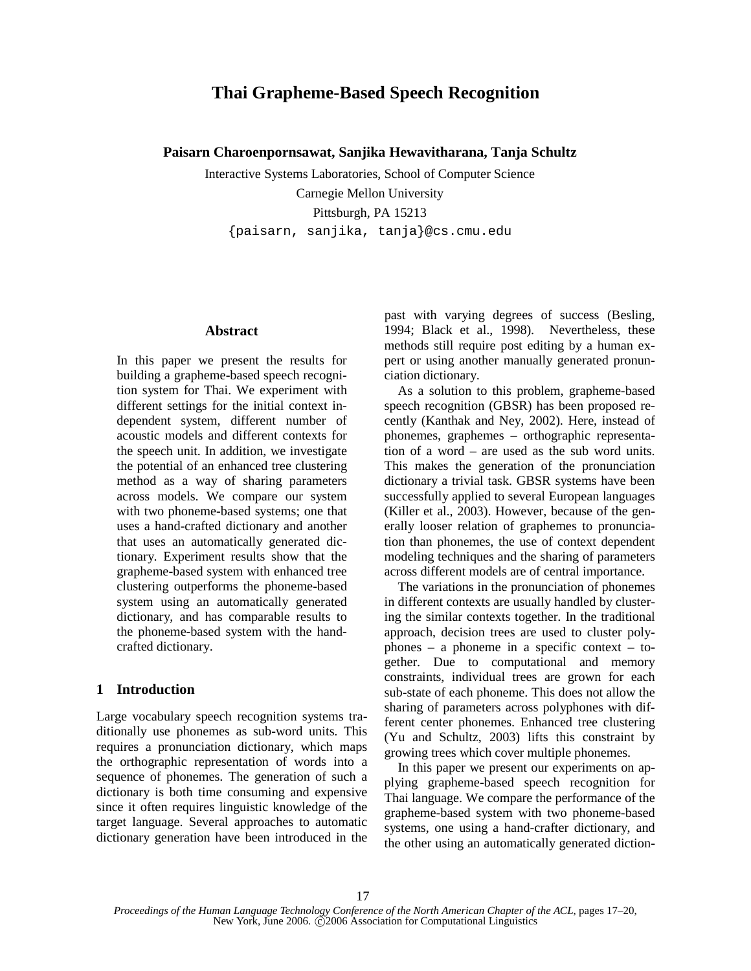# **Thai Grapheme-Based Speech Recognition**

**Paisarn Charoenpornsawat, Sanjika Hewavitharana, Tanja Schultz**

Interactive Systems Laboratories, School of Computer Science Carnegie Mellon University Pittsburgh, PA 15213 {paisarn, sanjika, tanja}@cs.cmu.edu

## **Abstract**

In this paper we present the results for building a grapheme-based speech recognition system for Thai. We experiment with different settings for the initial context independent system, different number of acoustic models and different contexts for the speech unit. In addition, we investigate the potential of an enhanced tree clustering method as a way of sharing parameters across models. We compare our system with two phoneme-based systems; one that uses a hand-crafted dictionary and another that uses an automatically generated dictionary. Experiment results show that the grapheme-based system with enhanced tree clustering outperforms the phoneme-based system using an automatically generated dictionary, and has comparable results to the phoneme-based system with the handcrafted dictionary.

## **1 Introduction**

Large vocabulary speech recognition systems traditionally use phonemes as sub-word units. This requires a pronunciation dictionary, which maps the orthographic representation of words into a sequence of phonemes. The generation of such a dictionary is both time consuming and expensive since it often requires linguistic knowledge of the target language. Several approaches to automatic dictionary generation have been introduced in the past with varying degrees of success (Besling, 1994; Black et al., 1998). Nevertheless, these methods still require post editing by a human expert or using another manually generated pronunciation dictionary.

As a solution to this problem, grapheme-based speech recognition (GBSR) has been proposed recently (Kanthak and Ney, 2002). Here, instead of phonemes, graphemes – orthographic representation of a word – are used as the sub word units. This makes the generation of the pronunciation dictionary a trivial task. GBSR systems have been successfully applied to several European languages (Killer et al., 2003). However, because of the generally looser relation of graphemes to pronunciation than phonemes, the use of context dependent modeling techniques and the sharing of parameters across different models are of central importance.

The variations in the pronunciation of phonemes in different contexts are usually handled by clustering the similar contexts together. In the traditional approach, decision trees are used to cluster polyphones – a phoneme in a specific context – together. Due to computational and memory constraints, individual trees are grown for each sub-state of each phoneme. This does not allow the sharing of parameters across polyphones with different center phonemes. Enhanced tree clustering (Yu and Schultz, 2003) lifts this constraint by growing trees which cover multiple phonemes.

In this paper we present our experiments on applying grapheme-based speech recognition for Thai language. We compare the performance of the grapheme-based system with two phoneme-based systems, one using a hand-crafter dictionary, and the other using an automatically generated diction-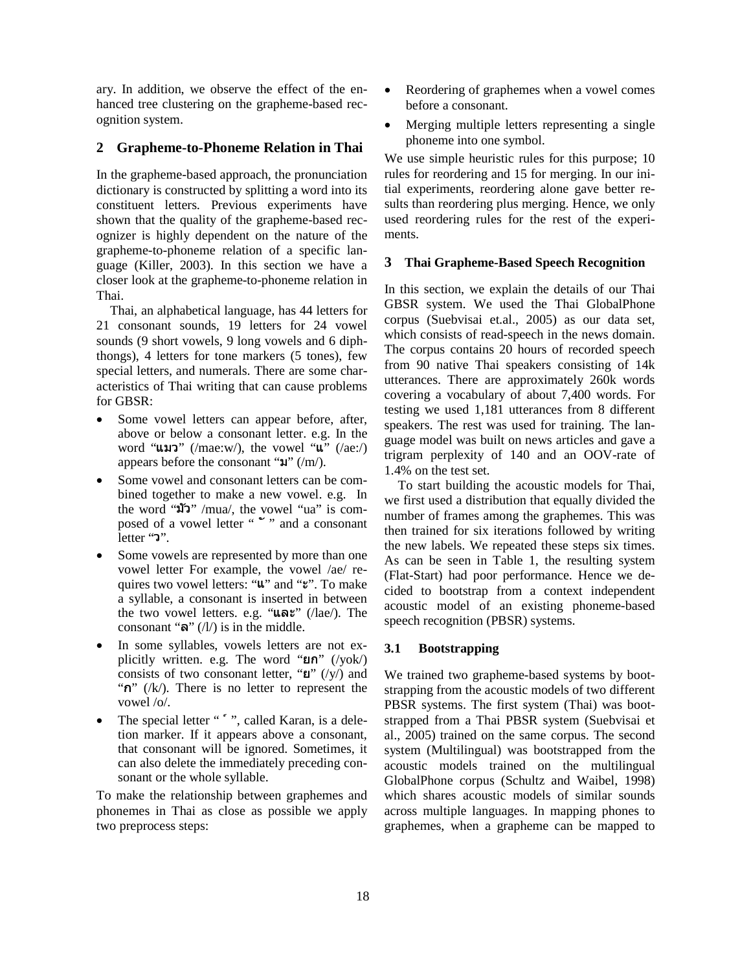ary. In addition, we observe the effect of the enhanced tree clustering on the grapheme-based recognition system.

# **2 Grapheme-to-Phoneme Relation in Thai**

In the grapheme-based approach, the pronunciation dictionary is constructed by splitting a word into its constituent letters. Previous experiments have shown that the quality of the grapheme-based recognizer is highly dependent on the nature of the grapheme-to-phoneme relation of a specific language (Killer, 2003). In this section we have a closer look at the grapheme-to-phoneme relation in Thai.

Thai, an alphabetical language, has 44 letters for 21 consonant sounds, 19 letters for 24 vowel sounds (9 short vowels, 9 long vowels and 6 diphthongs), 4 letters for tone markers (5 tones), few special letters, and numerals. There are some characteristics of Thai writing that can cause problems for GBSR:

- Some vowel letters can appear before, after, above or below a consonant letter. e.g. In the word " $\text{univ}$ " (/mae:w/), the vowel " $\text{u"}$  (/ae:/) appears before the consonant " $\mathfrak{A}$ " (/m/).
- Some vowel and consonant letters can be combined together to make a new vowel. e.g. In the word " $\mathbf{W}$ " /mua/, the vowel "ua" is composed of a vowel letter " " " and a consonant letter " ".
- Some vowels are represented by more than one vowel letter For example, the vowel /ae/ requires two vowel letters: "u" and "". To make a syllable, a consonant is inserted in between the two vowel letters. e.g. "และ" (/lae/). The consonant " $\mathbf{\hat{s}}$ " (/l/) is in the middle.
- In some syllables, vowels letters are not explicitly written. e.g. The word " $\mathbf{u} \cdot \mathbf{n}$ " (/yok/) consists of two consonant letter, " $\mathbf{u}$ " (/y/) and "n"  $(\frac{1}{k})$ . There is no letter to represent the vowel /o/.
- The special letter " "", called Karan, is a deletion marker. If it appears above a consonant, that consonant will be ignored. Sometimes, it can also delete the immediately preceding consonant or the whole syllable.

To make the relationship between graphemes and phonemes in Thai as close as possible we apply two preprocess steps:

- Reordering of graphemes when a vowel comes before a consonant.
- Merging multiple letters representing a single phoneme into one symbol.

We use simple heuristic rules for this purpose; 10 rules for reordering and 15 for merging. In our initial experiments, reordering alone gave better results than reordering plus merging. Hence, we only used reordering rules for the rest of the experiments.

#### **3 Thai Grapheme-Based Speech Recognition**

In this section, we explain the details of our Thai GBSR system. We used the Thai GlobalPhone corpus (Suebvisai et.al., 2005) as our data set, which consists of read-speech in the news domain. The corpus contains 20 hours of recorded speech from 90 native Thai speakers consisting of 14k utterances. There are approximately 260k words covering a vocabulary of about 7,400 words. For testing we used 1,181 utterances from 8 different speakers. The rest was used for training. The language model was built on news articles and gave a trigram perplexity of 140 and an OOV-rate of 1.4% on the test set.

To start building the acoustic models for Thai, we first used a distribution that equally divided the number of frames among the graphemes. This was then trained for six iterations followed by writing the new labels. We repeated these steps six times. As can be seen in Table 1, the resulting system (Flat-Start) had poor performance. Hence we decided to bootstrap from a context independent acoustic model of an existing phoneme-based speech recognition (PBSR) systems.

#### **3.1 Bootstrapping**

We trained two grapheme-based systems by bootstrapping from the acoustic models of two different PBSR systems. The first system (Thai) was bootstrapped from a Thai PBSR system (Suebvisai et al., 2005) trained on the same corpus. The second system (Multilingual) was bootstrapped from the acoustic models trained on the multilingual GlobalPhone corpus (Schultz and Waibel, 1998) which shares acoustic models of similar sounds across multiple languages. In mapping phones to graphemes, when a grapheme can be mapped to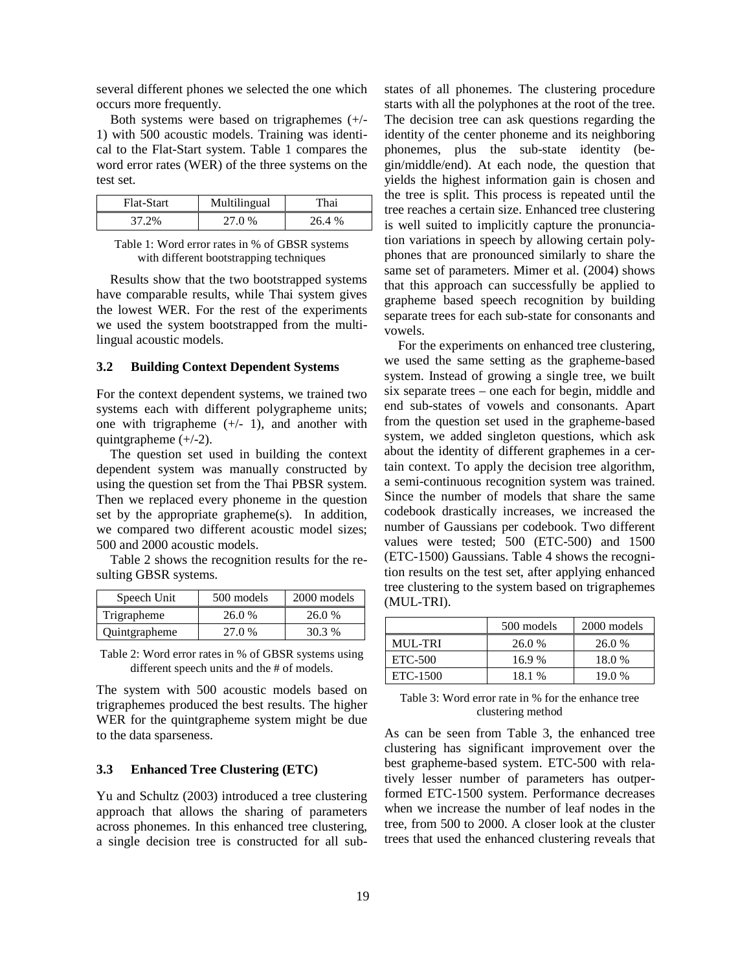several different phones we selected the one which occurs more frequently.

| Both systems were based on trigraphemes $(+/-$     |
|----------------------------------------------------|
| 1) with 500 acoustic models. Training was identi-  |
| cal to the Flat-Start system. Table 1 compares the |
| word error rates (WER) of the three systems on the |
| test set.                                          |

| Flat-Start | Multilingual | "hai-  |
|------------|--------------|--------|
| 37.2%      | 27.0 %       | 26.4 % |

Table 1: Word error rates in % of GBSR systems with different bootstrapping techniques

Results show that the two bootstrapped systems have comparable results, while Thai system gives the lowest WER. For the rest of the experiments we used the system bootstrapped from the multilingual acoustic models.

#### **3.2 Building Context Dependent Systems**

For the context dependent systems, we trained two systems each with different polygrapheme units; one with trigrapheme  $(+/- 1)$ , and another with quintgrapheme  $(+/-2)$ .

The question set used in building the context dependent system was manually constructed by using the question set from the Thai PBSR system. Then we replaced every phoneme in the question set by the appropriate grapheme(s). In addition, we compared two different acoustic model sizes; 500 and 2000 acoustic models.

Table 2 shows the recognition results for the resulting GBSR systems.

| Speech Unit   | 500 models | 2000 models |
|---------------|------------|-------------|
| Trigrapheme   | 26.0 %     | 26.0 %      |
| Quintgrapheme | 27.0%      | 30.3 %      |

Table 2: Word error rates in % of GBSR systems using different speech units and the # of models.

The system with 500 acoustic models based on trigraphemes produced the best results. The higher WER for the quintgrapheme system might be due to the data sparseness.

## **3.3 Enhanced Tree Clustering (ETC)**

Yu and Schultz (2003) introduced a tree clustering approach that allows the sharing of parameters across phonemes. In this enhanced tree clustering, a single decision tree is constructed for all sub-

states of all phonemes. The clustering procedure starts with all the polyphones at the root of the tree. The decision tree can ask questions regarding the identity of the center phoneme and its neighboring phonemes, plus the sub-state identity (begin/middle/end). At each node, the question that yields the highest information gain is chosen and the tree is split. This process is repeated until the tree reaches a certain size. Enhanced tree clustering is well suited to implicitly capture the pronunciation variations in speech by allowing certain polyphones that are pronounced similarly to share the same set of parameters. Mimer et al. (2004) shows that this approach can successfully be applied to grapheme based speech recognition by building separate trees for each sub-state for consonants and vowels.

For the experiments on enhanced tree clustering, we used the same setting as the grapheme-based system. Instead of growing a single tree, we built six separate trees – one each for begin, middle and end sub-states of vowels and consonants. Apart from the question set used in the grapheme-based system, we added singleton questions, which ask about the identity of different graphemes in a certain context. To apply the decision tree algorithm, a semi-continuous recognition system was trained. Since the number of models that share the same codebook drastically increases, we increased the number of Gaussians per codebook. Two different values were tested; 500 (ETC-500) and 1500 (ETC-1500) Gaussians. Table 4 shows the recognition results on the test set, after applying enhanced tree clustering to the system based on trigraphemes (MUL-TRI).

|                | 500 models | 2000 models |
|----------------|------------|-------------|
| <b>MUL-TRI</b> | 26.0 %     | 26.0 %      |
| ETC-500        | 16.9%      | 18.0 %      |
| ETC-1500       | 18.1 %     | 19.0 %      |

Table 3: Word error rate in % for the enhance tree clustering method

As can be seen from Table 3, the enhanced tree clustering has significant improvement over the best grapheme-based system. ETC-500 with relatively lesser number of parameters has outperformed ETC-1500 system. Performance decreases when we increase the number of leaf nodes in the tree, from 500 to 2000. A closer look at the cluster trees that used the enhanced clustering reveals that